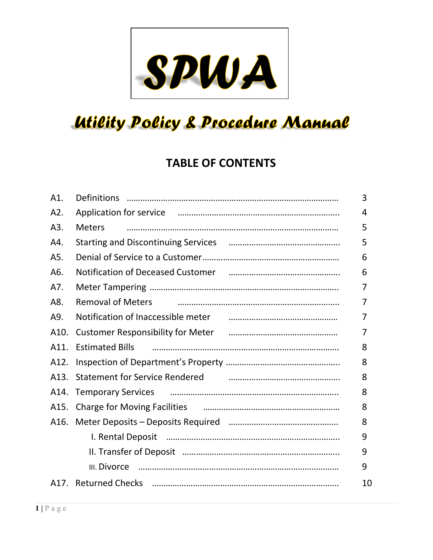

# **Utility Policy & Procedure Manual**

# **TABLE OF CONTENTS**

| A1.               |                                                                                                                                                                                                                                                                                                                                                                                             | 3  |
|-------------------|---------------------------------------------------------------------------------------------------------------------------------------------------------------------------------------------------------------------------------------------------------------------------------------------------------------------------------------------------------------------------------------------|----|
| A2.               | Application for service <i>manual manual communication</i> contracts.                                                                                                                                                                                                                                                                                                                       | 4  |
| A3.               | <b>Meters</b>                                                                                                                                                                                                                                                                                                                                                                               | 5  |
| A4.               |                                                                                                                                                                                                                                                                                                                                                                                             | 5  |
| A5.               |                                                                                                                                                                                                                                                                                                                                                                                             | 6  |
| A6.               | Notification of Deceased Customer Manuscrittical Control of Deceased Customer Manuscrittical Control of Deceased                                                                                                                                                                                                                                                                            | 6  |
| A7.               |                                                                                                                                                                                                                                                                                                                                                                                             | 7  |
| A8.               | <b>Removal of Meters</b>                                                                                                                                                                                                                                                                                                                                                                    | 7  |
| A9.               | Notification of Inaccessible meter manual continuum control of the Notification of Inaccessible meter                                                                                                                                                                                                                                                                                       | 7  |
| A10.              | Customer Responsibility for Meter and Cultimate measurements and Customer Responsibility for Meter                                                                                                                                                                                                                                                                                          | 7  |
| A11.              | $\begin{picture}(100,100) \put(0,0){\vector(1,0){100}} \put(10,0){\vector(1,0){100}} \put(10,0){\vector(1,0){100}} \put(10,0){\vector(1,0){100}} \put(10,0){\vector(1,0){100}} \put(10,0){\vector(1,0){100}} \put(10,0){\vector(1,0){100}} \put(10,0){\vector(1,0){100}} \put(10,0){\vector(1,0){100}} \put(10,0){\vector(1,0){100}} \put(10,0){\vector(1,0){100$<br><b>Estimated Bills</b> | 8  |
| A12.              |                                                                                                                                                                                                                                                                                                                                                                                             | 8  |
| A <sub>13</sub> . | <b>Statement for Service Rendered</b>                                                                                                                                                                                                                                                                                                                                                       | 8  |
| A14.              | Temporary Services <b>communications</b> and the material contract of the material contract of the material contract of                                                                                                                                                                                                                                                                     | 8  |
| A15.              | Charge for Moving Facilities <b>Charge for Moving Facilities Charge for Moving Facilities</b>                                                                                                                                                                                                                                                                                               | 8  |
| A16.              |                                                                                                                                                                                                                                                                                                                                                                                             | 8  |
|                   |                                                                                                                                                                                                                                                                                                                                                                                             | 9  |
|                   |                                                                                                                                                                                                                                                                                                                                                                                             | 9  |
|                   | III. Divorce                                                                                                                                                                                                                                                                                                                                                                                | 9  |
|                   |                                                                                                                                                                                                                                                                                                                                                                                             | 10 |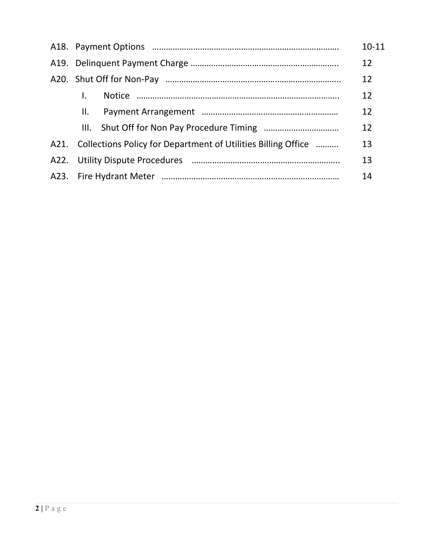|     |                                                                    | $10 - 11$ |  |
|-----|--------------------------------------------------------------------|-----------|--|
|     |                                                                    |           |  |
|     |                                                                    | 12        |  |
|     |                                                                    | 12        |  |
| II. |                                                                    | 12        |  |
|     |                                                                    | 12        |  |
|     | A21. Collections Policy for Department of Utilities Billing Office | 13        |  |
|     |                                                                    | 13        |  |
| 14  |                                                                    |           |  |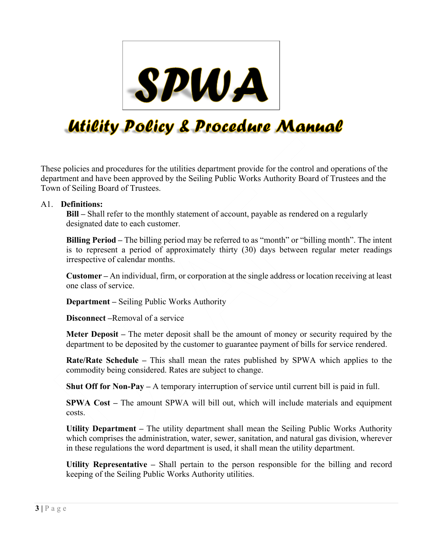

# **Utility Policy & Procedure Manual**

These policies and procedures for the utilities department provide for the control and operations of the department and have been approved by the Seiling Public Works Authority Board of Trustees and the Town of Seiling Board of Trustees.

#### A1. **Definitions:**

**Bill –** Shall refer to the monthly statement of account, payable as rendered on a regularly designated date to each customer.

**Billing Period –** The billing period may be referred to as "month" or "billing month". The intent is to represent a period of approximately thirty (30) days between regular meter readings irrespective of calendar months.

**Customer –** An individual, firm, or corporation at the single address or location receiving at least one class of service.

**Department –** Seiling Public Works Authority

**Disconnect –**Removal of a service

**Meter Deposit –** The meter deposit shall be the amount of money or security required by the department to be deposited by the customer to guarantee payment of bills for service rendered.

**Rate/Rate Schedule –** This shall mean the rates published by SPWA which applies to the commodity being considered. Rates are subject to change.

**Shut Off for Non-Pay –** A temporary interruption of service until current bill is paid in full.

**SPWA Cost –** The amount SPWA will bill out, which will include materials and equipment costs.

**Utility Department –** The utility department shall mean the Seiling Public Works Authority which comprises the administration, water, sewer, sanitation, and natural gas division, wherever in these regulations the word department is used, it shall mean the utility department.

**Utility Representative –** Shall pertain to the person responsible for the billing and record keeping of the Seiling Public Works Authority utilities.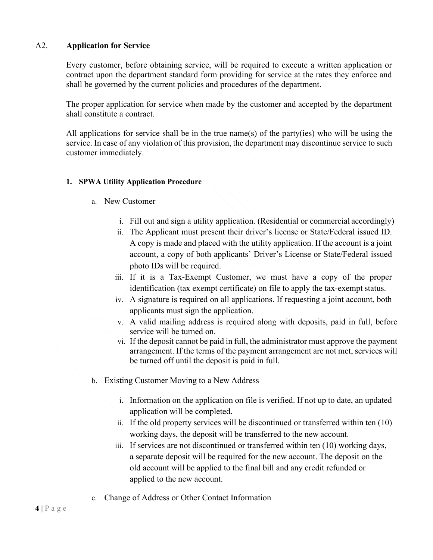#### A2. **Application for Service**

Every customer, before obtaining service, will be required to execute a written application or contract upon the department standard form providing for service at the rates they enforce and shall be governed by the current policies and procedures of the department.

The proper application for service when made by the customer and accepted by the department shall constitute a contract.

All applications for service shall be in the true name(s) of the party(ies) who will be using the service. In case of any violation of this provision, the department may discontinue service to such customer immediately.

#### **1. SPWA Utility Application Procedure**

- a. New Customer
	- i. Fill out and sign a utility application. (Residential or commercial accordingly)
	- ii. The Applicant must present their driver's license or State/Federal issued ID. A copy is made and placed with the utility application. If the account is a joint account, a copy of both applicants' Driver's License or State/Federal issued photo IDs will be required.
	- iii. If it is a Tax-Exempt Customer, we must have a copy of the proper identification (tax exempt certificate) on file to apply the tax-exempt status.
	- iv. A signature is required on all applications. If requesting a joint account, both applicants must sign the application.
	- v. A valid mailing address is required along with deposits, paid in full, before service will be turned on.
	- vi. If the deposit cannot be paid in full, the administrator must approve the payment arrangement. If the terms of the payment arrangement are not met, services will be turned off until the deposit is paid in full.
- b. Existing Customer Moving to a New Address
	- i. Information on the application on file is verified. If not up to date, an updated application will be completed.
	- ii. If the old property services will be discontinued or transferred within ten (10) working days, the deposit will be transferred to the new account.
	- iii. If services are not discontinued or transferred within ten (10) working days, a separate deposit will be required for the new account. The deposit on the old account will be applied to the final bill and any credit refunded or applied to the new account.
- c. Change of Address or Other Contact Information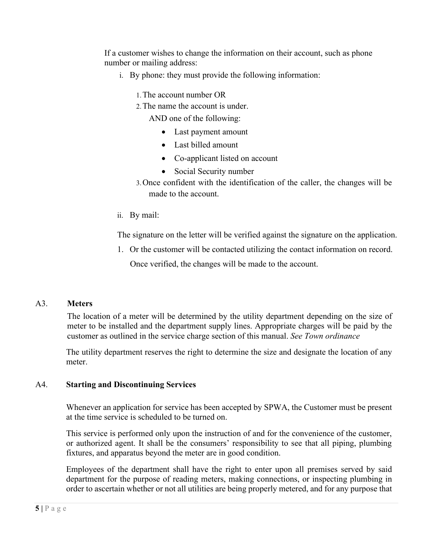If a customer wishes to change the information on their account, such as phone number or mailing address:

- i. By phone: they must provide the following information:
	- 1.The account number OR
	- 2.The name the account is under.

AND one of the following:

- Last payment amount
- Last billed amount
- Co-applicant listed on account
- Social Security number
- 3.Once confident with the identification of the caller, the changes will be made to the account.
- ii. By mail:

The signature on the letter will be verified against the signature on the application.

1. Or the customer will be contacted utilizing the contact information on record. Once verified, the changes will be made to the account.

#### A3. **Meters**

The location of a meter will be determined by the utility department depending on the size of meter to be installed and the department supply lines. Appropriate charges will be paid by the customer as outlined in the service charge section of this manual. *See Town ordinance*

The utility department reserves the right to determine the size and designate the location of any meter.

# A4. **Starting and Discontinuing Services**

Whenever an application for service has been accepted by SPWA, the Customer must be present at the time service is scheduled to be turned on.

This service is performed only upon the instruction of and for the convenience of the customer, or authorized agent. It shall be the consumers' responsibility to see that all piping, plumbing fixtures, and apparatus beyond the meter are in good condition.

Employees of the department shall have the right to enter upon all premises served by said department for the purpose of reading meters, making connections, or inspecting plumbing in order to ascertain whether or not all utilities are being properly metered, and for any purpose that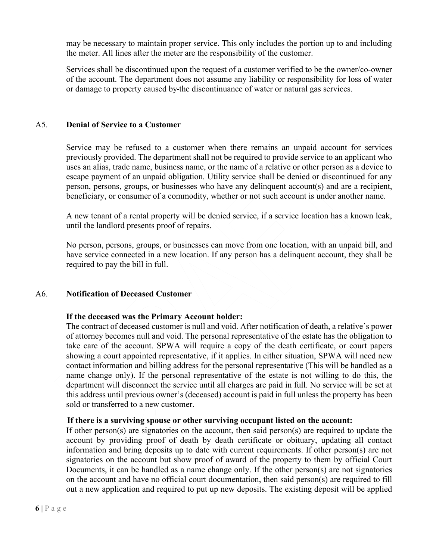may be necessary to maintain proper service. This only includes the portion up to and including the meter. All lines after the meter are the responsibility of the customer.

Services shall be discontinued upon the request of a customer verified to be the owner/co-owner of the account. The department does not assume any liability or responsibility for loss of water or damage to property caused by the discontinuance of water or natural gas services.

#### A5. **Denial of Service to a Customer**

Service may be refused to a customer when there remains an unpaid account for services previously provided. The department shall not be required to provide service to an applicant who uses an alias, trade name, business name, or the name of a relative or other person as a device to escape payment of an unpaid obligation. Utility service shall be denied or discontinued for any person, persons, groups, or businesses who have any delinquent account(s) and are a recipient, beneficiary, or consumer of a commodity, whether or not such account is under another name.

A new tenant of a rental property will be denied service, if a service location has a known leak, until the landlord presents proof of repairs.

No person, persons, groups, or businesses can move from one location, with an unpaid bill, and have service connected in a new location. If any person has a delinquent account, they shall be required to pay the bill in full.

#### A6. **Notification of Deceased Customer**

#### **If the deceased was the Primary Account holder:**

The contract of deceased customer is null and void. After notification of death, a relative's power of attorney becomes null and void. The personal representative of the estate has the obligation to take care of the account. SPWA will require a copy of the death certificate, or court papers showing a court appointed representative, if it applies. In either situation, SPWA will need new contact information and billing address for the personal representative (This will be handled as a name change only). If the personal representative of the estate is not willing to do this, the department will disconnect the service until all charges are paid in full. No service will be set at this address until previous owner's (deceased) account is paid in full unless the property has been sold or transferred to a new customer.

#### **If there is a surviving spouse or other surviving occupant listed on the account:**

If other person(s) are signatories on the account, then said person(s) are required to update the account by providing proof of death by death certificate or obituary, updating all contact information and bring deposits up to date with current requirements. If other person(s) are not signatories on the account but show proof of award of the property to them by official Court Documents, it can be handled as a name change only. If the other person(s) are not signatories on the account and have no official court documentation, then said person(s) are required to fill out a new application and required to put up new deposits. The existing deposit will be applied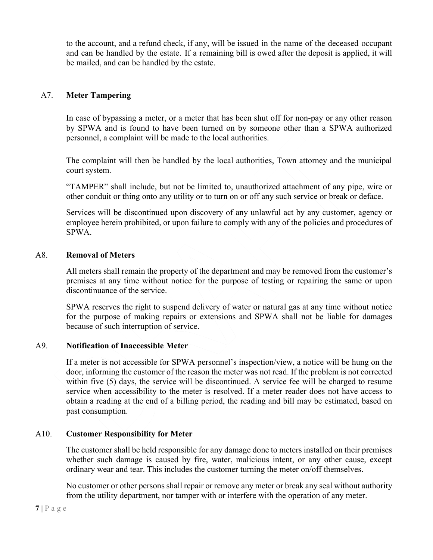to the account, and a refund check, if any, will be issued in the name of the deceased occupant and can be handled by the estate. If a remaining bill is owed after the deposit is applied, it will be mailed, and can be handled by the estate.

# A7. **Meter Tampering**

In case of bypassing a meter, or a meter that has been shut off for non-pay or any other reason by SPWA and is found to have been turned on by someone other than a SPWA authorized personnel, a complaint will be made to the local authorities.

The complaint will then be handled by the local authorities, Town attorney and the municipal court system.

"TAMPER" shall include, but not be limited to, unauthorized attachment of any pipe, wire or other conduit or thing onto any utility or to turn on or off any such service or break or deface.

Services will be discontinued upon discovery of any unlawful act by any customer, agency or employee herein prohibited, or upon failure to comply with any of the policies and procedures of SPWA.

#### A8. **Removal of Meters**

All meters shall remain the property of the department and may be removed from the customer's premises at any time without notice for the purpose of testing or repairing the same or upon discontinuance of the service.

SPWA reserves the right to suspend delivery of water or natural gas at any time without notice for the purpose of making repairs or extensions and SPWA shall not be liable for damages because of such interruption of service.

# A9. **Notification of Inaccessible Meter**

If a meter is not accessible for SPWA personnel's inspection/view, a notice will be hung on the door, informing the customer of the reason the meter was not read. If the problem is not corrected within five (5) days, the service will be discontinued. A service fee will be charged to resume service when accessibility to the meter is resolved. If a meter reader does not have access to obtain a reading at the end of a billing period, the reading and bill may be estimated, based on past consumption.

# A10. **Customer Responsibility for Meter**

The customer shall be held responsible for any damage done to meters installed on their premises whether such damage is caused by fire, water, malicious intent, or any other cause, except ordinary wear and tear. This includes the customer turning the meter on/off themselves.

No customer or other persons shall repair or remove any meter or break any seal without authority from the utility department, nor tamper with or interfere with the operation of any meter.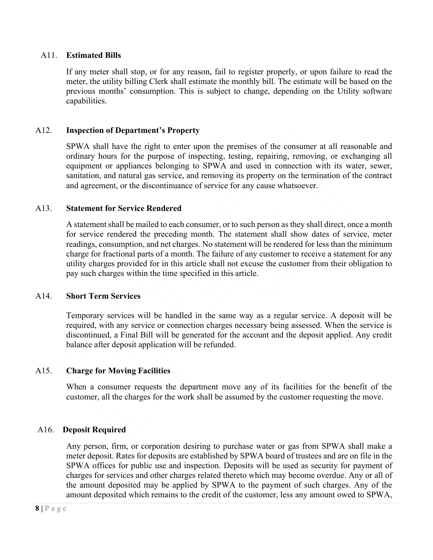#### A11. **Estimated Bills**

If any meter shall stop, or for any reason, fail to register properly, or upon failure to read the meter, the utility billing Clerk shall estimate the monthly bill. The estimate will be based on the previous months' consumption. This is subject to change, depending on the Utility software capabilities.

# A12. **Inspection of Department's Property**

SPWA shall have the right to enter upon the premises of the consumer at all reasonable and ordinary hours for the purpose of inspecting, testing, repairing, removing, or exchanging all equipment or appliances belonging to SPWA and used in connection with its water, sewer, sanitation, and natural gas service, and removing its property on the termination of the contract and agreement, or the discontinuance of service for any cause whatsoever.

#### A13. **Statement for Service Rendered**

A statement shall be mailed to each consumer, or to such person as they shall direct, once a month for service rendered the preceding month. The statement shall show dates of service, meter readings, consumption, and net charges. No statement will be rendered for less than the minimum charge for fractional parts of a month. The failure of any customer to receive a statement for any utility charges provided for in this article shall not excuse the customer from their obligation to pay such charges within the time specified in this article.

#### A14. **Short Term Services**

Temporary services will be handled in the same way as a regular service. A deposit will be required, with any service or connection charges necessary being assessed. When the service is discontinued, a Final Bill will be generated for the account and the deposit applied. Any credit balance after deposit application will be refunded.

# A15. **Charge for Moving Facilities**

When a consumer requests the department move any of its facilities for the benefit of the customer, all the charges for the work shall be assumed by the customer requesting the move.

# A16. **Deposit Required**

Any person, firm, or corporation desiring to purchase water or gas from SPWA shall make a meter deposit. Rates for deposits are established by SPWA board of trustees and are on file in the SPWA offices for public use and inspection. Deposits will be used as security for payment of charges for services and other charges related thereto which may become overdue. Any or all of the amount deposited may be applied by SPWA to the payment of such charges. Any of the amount deposited which remains to the credit of the customer, less any amount owed to SPWA,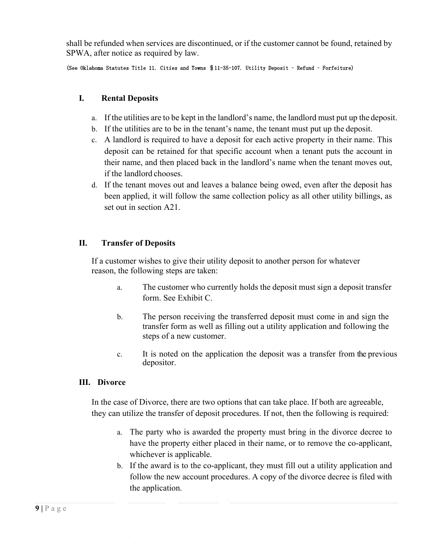shall be refunded when services are discontinued, or if the customer cannot be found, retained by SPWA, after notice as required by law.

#### (See Oklahoma Statutes Title 11. Cities and Towns §11-35-107. Utility Deposit – Refund – Forfeiture)

#### **I. Rental Deposits**

- a. If the utilities are to be kept in the landlord's name, the landlord must put up the deposit.
- b. If the utilities are to be in the tenant's name, the tenant must put up the deposit.
- c. A landlord is required to have a deposit for each active property in their name. This deposit can be retained for that specific account when a tenant puts the account in their name, and then placed back in the landlord's name when the tenant moves out, if the landlord chooses.
- d. If the tenant moves out and leaves a balance being owed, even after the deposit has been applied, it will follow the same collection policy as all other utility billings, as set out in section A21.

# **II. Transfer of Deposits**

If a customer wishes to give their utility deposit to another person for whatever reason, the following steps are taken:

- a. The customer who currently holds the deposit must sign a deposit transfer form. See Exhibit C.
- b. The person receiving the transferred deposit must come in and sign the transfer form as well as filling out a utility application and following the steps of a new customer.
- c. It is noted on the application the deposit was a transfer from the previous depositor.

#### **III. Divorce**

In the case of Divorce, there are two options that can take place. If both are agreeable, they can utilize the transfer of deposit procedures. If not, then the following is required:

- a. The party who is awarded the property must bring in the divorce decree to have the property either placed in their name, or to remove the co-applicant, whichever is applicable.
- b. If the award is to the co-applicant, they must fill out a utility application and follow the new account procedures. A copy of the divorce decree is filed with the application.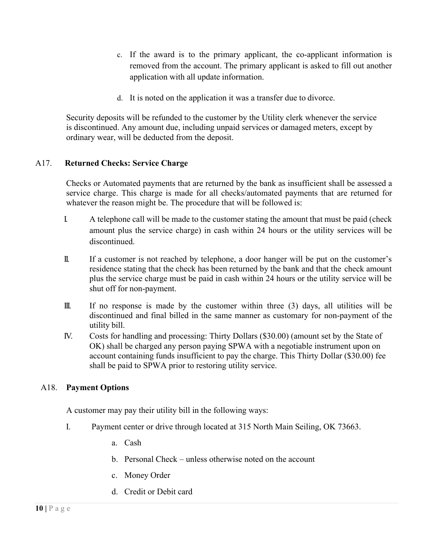- c. If the award is to the primary applicant, the co-applicant information is removed from the account. The primary applicant is asked to fill out another application with all update information.
- d. It is noted on the application it was a transfer due to divorce.

Security deposits will be refunded to the customer by the Utility clerk whenever the service is discontinued. Any amount due, including unpaid services or damaged meters, except by ordinary wear, will be deducted from the deposit.

# A17. **Returned Checks: Service Charge**

Checks or Automated payments that are returned by the bank as insufficient shall be assessed a service charge. This charge is made for all checks/automated payments that are returned for whatever the reason might be. The procedure that will be followed is:

- I. A telephone call will be made to the customer stating the amount that must be paid (check amount plus the service charge) in cash within 24 hours or the utility services will be discontinued.
- II. If a customer is not reached by telephone, a door hanger will be put on the customer's residence stating that the check has been returned by the bank and that the check amount plus the service charge must be paid in cash within 24 hours or the utility service will be shut off for non-payment.
- III. If no response is made by the customer within three (3) days, all utilities will be discontinued and final billed in the same manner as customary for non-payment of the utility bill.
- IV. Costs for handling and processing: Thirty Dollars (\$30.00) (amount set by the State of OK) shall be charged any person paying SPWA with a negotiable instrument upon on account containing funds insufficient to pay the charge. This Thirty Dollar (\$30.00) fee shall be paid to SPWA prior to restoring utility service.

# A18. **Payment Options**

A customer may pay their utility bill in the following ways:

- I. Payment center or drive through located at 315 North Main Seiling, OK 73663.
	- a. Cash
	- b. Personal Check unless otherwise noted on the account
	- c. Money Order
	- d. Credit or Debit card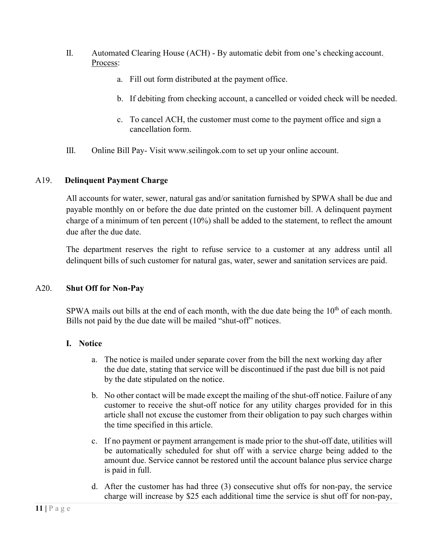- II. Automated Clearing House (ACH) By automatic debit from one's checking account. Process:
	- a. Fill out form distributed at the payment office.
	- b. If debiting from checking account, a cancelled or voided check will be needed.
	- c. To cancel ACH, the customer must come to the payment office and sign a cancellation form.
- III. Online Bill Pay- Visit www.seilingok.com to set up your online account.

# A19. **Delinquent Payment Charge**

All accounts for water, sewer, natural gas and/or sanitation furnished by SPWA shall be due and payable monthly on or before the due date printed on the customer bill. A delinquent payment charge of a minimum of ten percent (10%) shall be added to the statement, to reflect the amount due after the due date.

The department reserves the right to refuse service to a customer at any address until all delinquent bills of such customer for natural gas, water, sewer and sanitation services are paid.

# A20. **Shut Off for Non-Pay**

SPWA mails out bills at the end of each month, with the due date being the  $10<sup>th</sup>$  of each month. Bills not paid by the due date will be mailed "shut-off" notices.

# **I. Notice**

- a. The notice is mailed under separate cover from the bill the next working day after the due date, stating that service will be discontinued if the past due bill is not paid by the date stipulated on the notice.
- b. No other contact will be made except the mailing of the shut-off notice. Failure of any customer to receive the shut-off notice for any utility charges provided for in this article shall not excuse the customer from their obligation to pay such charges within the time specified in this article.
- c. If no payment or payment arrangement is made prior to the shut-off date, utilities will be automatically scheduled for shut off with a service charge being added to the amount due. Service cannot be restored until the account balance plus service charge is paid in full.
- d. After the customer has had three (3) consecutive shut offs for non-pay, the service charge will increase by \$25 each additional time the service is shut off for non-pay,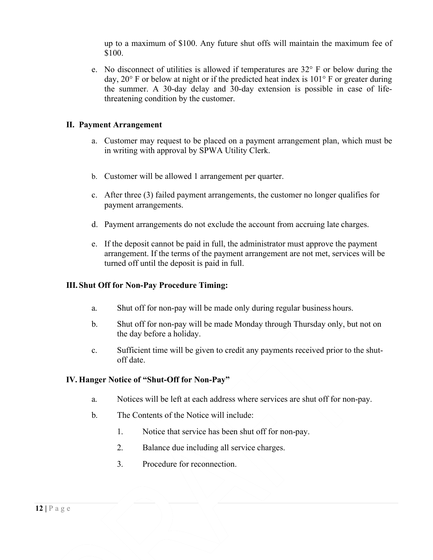up to a maximum of \$100. Any future shut offs will maintain the maximum fee of \$100.

e. No disconnect of utilities is allowed if temperatures are  $32^{\circ}$  F or below during the day, 20° F or below at night or if the predicted heat index is 101° F or greater during the summer. A 30-day delay and 30-day extension is possible in case of lifethreatening condition by the customer.

#### **II. Payment Arrangement**

- a. Customer may request to be placed on a payment arrangement plan, which must be in writing with approval by SPWA Utility Clerk.
- b. Customer will be allowed 1 arrangement per quarter.
- c. After three (3) failed payment arrangements, the customer no longer qualifies for payment arrangements.
- d. Payment arrangements do not exclude the account from accruing late charges.
- e. If the deposit cannot be paid in full, the administrator must approve the payment arrangement. If the terms of the payment arrangement are not met, services will be turned off until the deposit is paid in full.

#### **III. Shut Off for Non-Pay Procedure Timing:**

- a. Shut off for non-pay will be made only during regular business hours.
- b. Shut off for non-pay will be made Monday through Thursday only, but not on the day before a holiday.
- c. Sufficient time will be given to credit any payments received prior to the shutoff date.

#### **IV. Hanger Notice of "Shut-Off for Non-Pay"**

- a. Notices will be left at each address where services are shut off for non-pay.
- b. The Contents of the Notice will include:
	- 1. Notice that service has been shut off for non-pay.
	- 2. Balance due including all service charges.
	- 3. Procedure for reconnection.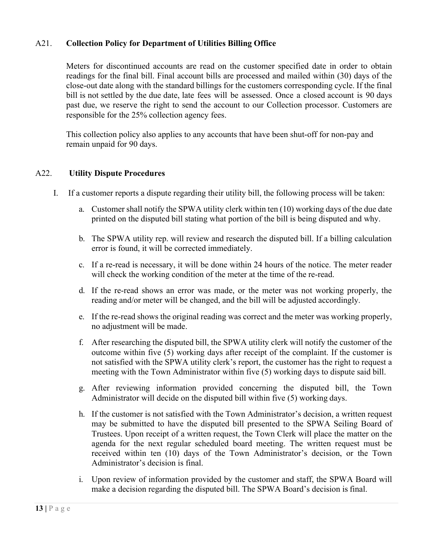# A21. **Collection Policy for Department of Utilities Billing Office**

Meters for discontinued accounts are read on the customer specified date in order to obtain readings for the final bill. Final account bills are processed and mailed within (30) days of the close-out date along with the standard billings for the customers corresponding cycle. If the final bill is not settled by the due date, late fees will be assessed. Once a closed account is 90 days past due, we reserve the right to send the account to our Collection processor. Customers are responsible for the 25% collection agency fees.

This collection policy also applies to any accounts that have been shut-off for non-pay and remain unpaid for 90 days.

#### A22. **Utility Dispute Procedures**

- I. If a customer reports a dispute regarding their utility bill, the following process will be taken:
	- a. Customer shall notify the SPWA utility clerk within ten (10) working days of the due date printed on the disputed bill stating what portion of the bill is being disputed and why.
	- b. The SPWA utility rep. will review and research the disputed bill. If a billing calculation error is found, it will be corrected immediately.
	- c. If a re-read is necessary, it will be done within 24 hours of the notice. The meter reader will check the working condition of the meter at the time of the re-read.
	- d. If the re-read shows an error was made, or the meter was not working properly, the reading and/or meter will be changed, and the bill will be adjusted accordingly.
	- e. If the re-read shows the original reading was correct and the meter was working properly, no adjustment will be made.
	- f. After researching the disputed bill, the SPWA utility clerk will notify the customer of the outcome within five (5) working days after receipt of the complaint. If the customer is not satisfied with the SPWA utility clerk's report, the customer has the right to request a meeting with the Town Administrator within five (5) working days to dispute said bill.
	- g. After reviewing information provided concerning the disputed bill, the Town Administrator will decide on the disputed bill within five (5) working days.
	- h. If the customer is not satisfied with the Town Administrator's decision, a written request may be submitted to have the disputed bill presented to the SPWA Seiling Board of Trustees. Upon receipt of a written request, the Town Clerk will place the matter on the agenda for the next regular scheduled board meeting. The written request must be received within ten (10) days of the Town Administrator's decision, or the Town Administrator's decision is final.
	- i. Upon review of information provided by the customer and staff, the SPWA Board will make a decision regarding the disputed bill. The SPWA Board's decision is final.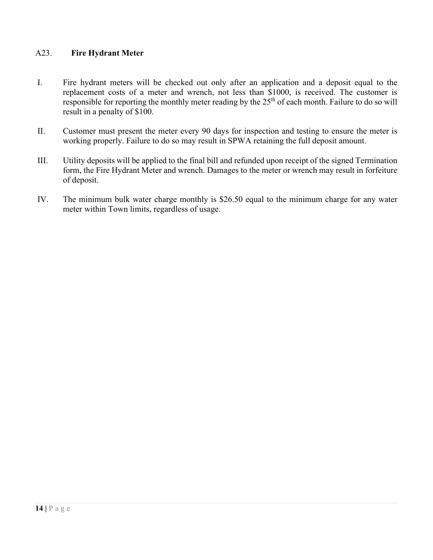# A23. **Fire Hydrant Meter**

- I. Fire hydrant meters will be checked out only after an application and a deposit equal to the replacement costs of a meter and wrench, not less than \$1000, is received. The customer is responsible for reporting the monthly meter reading by the  $25<sup>th</sup>$  of each month. Failure to do so will result in a penalty of \$100.
- II. Customer must present the meter every 90 days for inspection and testing to ensure the meter is working properly. Failure to do so may result in SPWA retaining the full deposit amount.
- III. Utility deposits will be applied to the final bill and refunded upon receipt of the signed Termination form, the Fire Hydrant Meter and wrench. Damages to the meter or wrench may result in forfeiture of deposit.
- IV. The minimum bulk water charge monthly is \$26.50 equal to the minimum charge for any water meter within Town limits, regardless of usage.